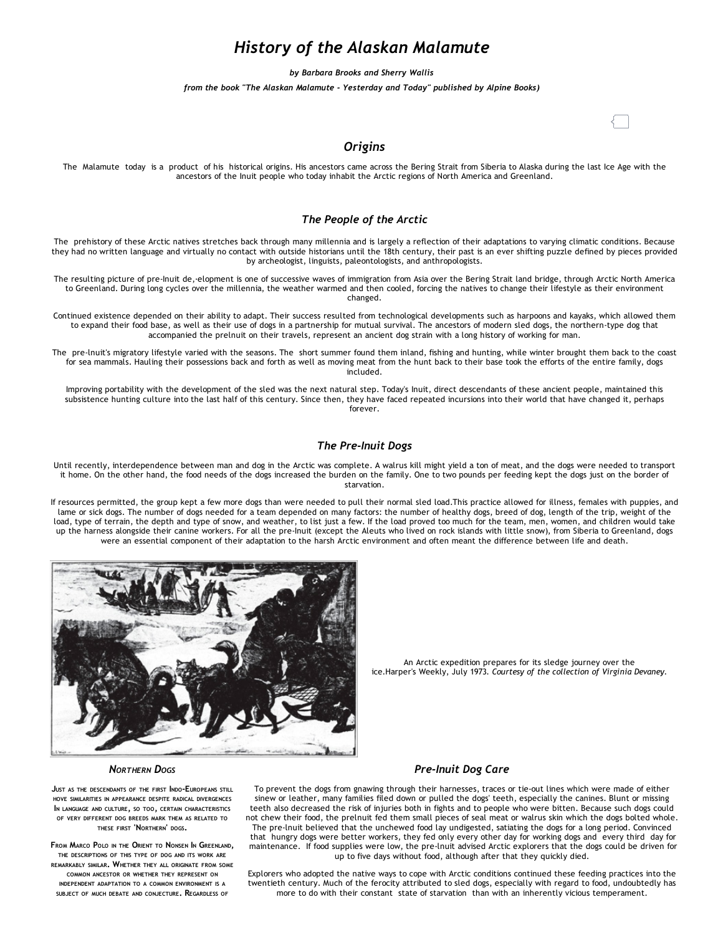# *History of the Alaskan Malamute*

*by Barbara Brooks and Sherry Wallis*

*from the book "The Alaskan Malamute ‐ Yesterday and Today" published by Alpine Books)*

## *Origins*

The Malamute today is a product of his historical origins. His ancestors came across the Bering Strait from Siberia to Alaska during the last Ice Age with the ancestors of the Inuit people who today inhabit the Arctic regions of North America and Greenland.

## *The People of the Arctic*

The prehistory of these Arctic natives stretches back through many millennia and is largely a reflection of their adaptations to varying climatic conditions. Because they had no written language and virtually no contact with outside historians until the 18th century, their past is an ever shifting puzzle defined by pieces provided by archeologist, linguists, paleontologists, and anthropologists.

The resulting picture of pre‐Inuit de,·elopment is one of successive waves of immigration from Asia over the Bering Strait land bridge, through Arctic North America to Greenland. During long cycles over the millennia, the weather warmed and then cooled, forcing the natives to change their lifestyle as their environment changed.

Continued existence depended on their ability to adapt. Their success resulted from technological developments such as harpoons and kayaks, which allowed them to expand their food base, as well as their use of dogs in a partnership for mutual survival. The ancestors of modern sled dogs, the northern‐type dog that accompanied the prelnuit on their travels, represent an ancient dog strain with a long history of working for man.

The pre-lnuit's migratory lifestyle varied with the seasons. The short summer found them inland, fishing and hunting, while winter brought them back to the coast for sea mammals. Hauling their possessions back and forth as well as moving meat from the hunt back to their base took the efforts of the entire family, dogs included.

Improving portability with the development of the sled was the next natural step. Today's Inuit, direct descendants of these ancient people, maintained this subsistence hunting culture into the last half of this century. Since then, they have faced repeated incursions into their world that have changed it, perhaps forever.

### *The Pre‐Inuit Dogs*

Until recently, interdependence between man and dog in the Arctic was complete. A walrus kill might yield a ton of meat, and the dogs were needed to transport it home. On the other hand, the food needs of the dogs increased the burden on the family. One to two pounds per feeding kept the dogs just on the border of starvation.

If resources permitted, the group kept a few more dogs than were needed to pull their normal sled load.This practice allowed for illness, females with puppies, and lame or sick dogs. The number of dogs needed for a team depended on many factors: the number of healthy dogs, breed of dog, length of the trip, weight of the load, type of terrain, the depth and type of snow, and weather, to list just a few. If the load proved too much for the team, men, women, and children would take up the harness alongside their canine workers. For all the pre-lnuit (except the Aleuts who lived on rock islands with little snow), from Siberia to Greenland, dogs were an essential component of their adaptation to the harsh Arctic environment and often meant the difference between life and death.



An Arctic expedition prepares for its sledge journey over the ice*.*Harper's Weekly, July 1973*. Courtesy of the collection of Virginia Devaney.*

#### *NORTHERN DOGS*

JUST AS THE DESCENDANTS OF THE FIRST INDO‐EUROPEANS STILL HOVE SIMILARITIES IN APPEARANCE DESPITE RADICAL DIVERGENCES I<sup>N</sup> LANGUAGE AND CULTURE, SO TOO, CERTAIN CHARACTERISTICS OF VERY DIFFERENT DOG BREEDS MARK THEM AS RELATED TO THESE FIRST 'NORTHERN' DOGS.

FROM MARCO POLO IN THE ORIENT TO NONSEN IN GREENLAND, THE DESCRIPTIONS OF THIS TYPE OF DOG AND ITS WORK ARE REMARKABLY SIMILAR. WHETHER THEY ALL ORIGINATE FROM SOME COMMON ANCESTOR OR WHETHER THEY REPRESENT ON INDEPENDENT ADAPTATION TO A COMMON ENVIRONMENT IS A SUBJECT OF MUCH DEBATE AND CONJECTURE. REGARDLESS OF

## *Pre‐Inuit Dog Care*

To prevent the dogs from gnawing through their harnesses, traces or tie‐out lines which were made of either sinew or leather, many families filed down or pulled the dogs' teeth, especially the canines. Blunt or missing teeth also decreased the risk of injuries both in fights and to people who were bitten. Because such dogs could not chew their food, the prelnuit fed them small pieces of seal meat or walrus skin which the dogs bolted whole. The pre‐lnuit believed that the unchewed food lay undigested, satiating the dogs for a long period. Convinced that hungry dogs were better workers, they fed only every other day for working dogs and every third day for maintenance. If food supplies were low, the pre‐lnuit advised Arctic explorers that the dogs could be driven for up to five days without food, although after that they quickly died.

Explorers who adopted the native ways to cope with Arctic conditions continued these feeding practices into the twentieth century. Much of the ferocity attributed to sled dogs, especially with regard to food, undoubtedly has more to do with their constant state of starvation than with an inherently vicious temperament.